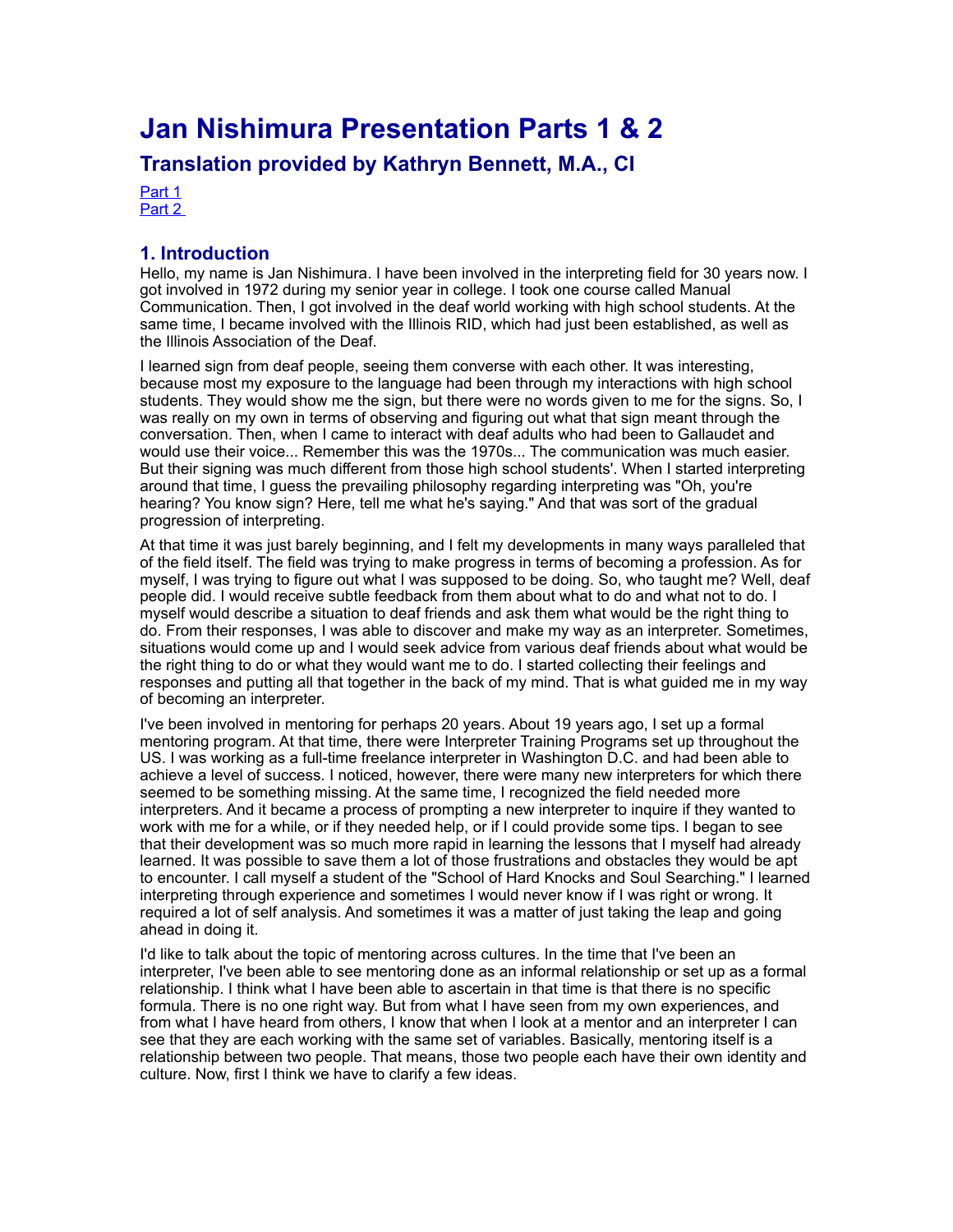# **Jan Nishimura Presentation Parts 1 & 2**

**Translation provided by Kathryn Bennett, M.A., CI** 

[Part 1](https://ncrtm.org/moodle/pluginfile.php/9574/mod_resource/content/0/4.2.2trans_nishimura.html#part1) [Part 2](https://ncrtm.org/moodle/pluginfile.php/9574/mod_resource/content/0/4.2.2trans_nishimura.html#part2) 

### **1. Introduction**

Hello, my name is Jan Nishimura. I have been involved in the interpreting field for 30 years now. I got involved in 1972 during my senior year in college. I took one course called Manual Communication. Then, I got involved in the deaf world working with high school students. At the same time, I became involved with the Illinois RID, which had just been established, as well as the Illinois Association of the Deaf.

I learned sign from deaf people, seeing them converse with each other. It was interesting, because most my exposure to the language had been through my interactions with high school students. They would show me the sign, but there were no words given to me for the signs. So, I was really on my own in terms of observing and figuring out what that sign meant through the conversation. Then, when I came to interact with deaf adults who had been to Gallaudet and would use their voice... Remember this was the 1970s... The communication was much easier. But their signing was much different from those high school students'. When I started interpreting around that time, I guess the prevailing philosophy regarding interpreting was "Oh, you're hearing? You know sign? Here, tell me what he's saying." And that was sort of the gradual progression of interpreting.

At that time it was just barely beginning, and I felt my developments in many ways paralleled that of the field itself. The field was trying to make progress in terms of becoming a profession. As for myself, I was trying to figure out what I was supposed to be doing. So, who taught me? Well, deaf people did. I would receive subtle feedback from them about what to do and what not to do. I myself would describe a situation to deaf friends and ask them what would be the right thing to do. From their responses, I was able to discover and make my way as an interpreter. Sometimes, situations would come up and I would seek advice from various deaf friends about what would be the right thing to do or what they would want me to do. I started collecting their feelings and responses and putting all that together in the back of my mind. That is what guided me in my way of becoming an interpreter.

I've been involved in mentoring for perhaps 20 years. About 19 years ago, I set up a formal mentoring program. At that time, there were Interpreter Training Programs set up throughout the US. I was working as a full-time freelance interpreter in Washington D.C. and had been able to achieve a level of success. I noticed, however, there were many new interpreters for which there seemed to be something missing. At the same time, I recognized the field needed more interpreters. And it became a process of prompting a new interpreter to inquire if they wanted to work with me for a while, or if they needed help, or if I could provide some tips. I began to see that their development was so much more rapid in learning the lessons that I myself had already learned. It was possible to save them a lot of those frustrations and obstacles they would be apt to encounter. I call myself a student of the "School of Hard Knocks and Soul Searching." I learned interpreting through experience and sometimes I would never know if I was right or wrong. It required a lot of self analysis. And sometimes it was a matter of just taking the leap and going ahead in doing it.

I'd like to talk about the topic of mentoring across cultures. In the time that I've been an interpreter, I've been able to see mentoring done as an informal relationship or set up as a formal relationship. I think what I have been able to ascertain in that time is that there is no specific formula. There is no one right way. But from what I have seen from my own experiences, and from what I have heard from others, I know that when I look at a mentor and an interpreter I can see that they are each working with the same set of variables. Basically, mentoring itself is a relationship between two people. That means, those two people each have their own identity and culture. Now, first I think we have to clarify a few ideas.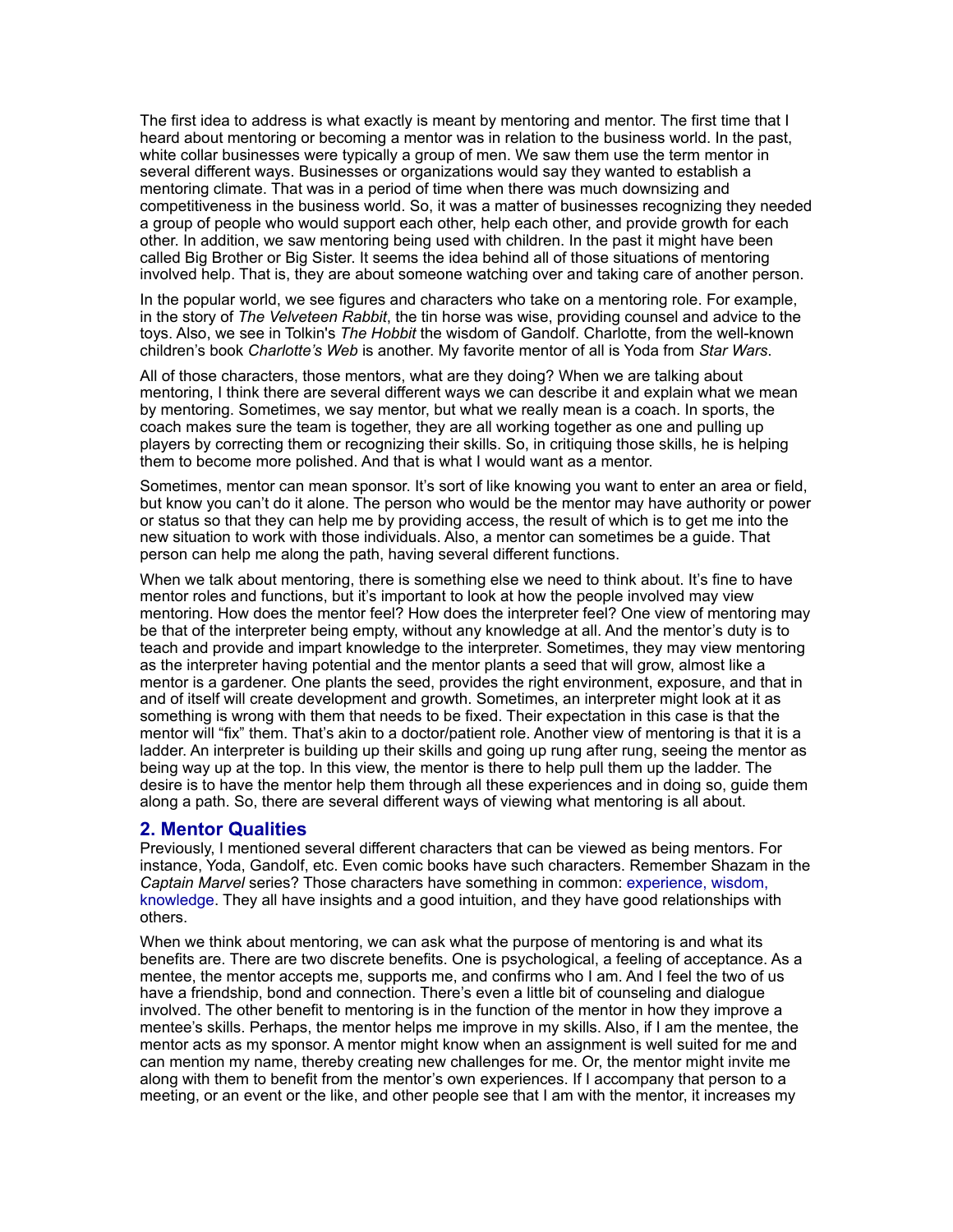The first idea to address is what exactly is meant by mentoring and mentor. The first time that I heard about mentoring or becoming a mentor was in relation to the business world. In the past, white collar businesses were typically a group of men. We saw them use the term mentor in several different ways. Businesses or organizations would say they wanted to establish a mentoring climate. That was in a period of time when there was much downsizing and competitiveness in the business world. So, it was a matter of businesses recognizing they needed a group of people who would support each other, help each other, and provide growth for each other. In addition, we saw mentoring being used with children. In the past it might have been called Big Brother or Big Sister. It seems the idea behind all of those situations of mentoring involved help. That is, they are about someone watching over and taking care of another person.

In the popular world, we see figures and characters who take on a mentoring role. For example, in the story of *The Velveteen Rabbit*, the tin horse was wise, providing counsel and advice to the toys. Also, we see in Tolkin's *The Hobbit* the wisdom of Gandolf. Charlotte, from the well-known children's book *Charlotte's Web* is another. My favorite mentor of all is Yoda from *Star Wars*.

All of those characters, those mentors, what are they doing? When we are talking about mentoring, I think there are several different ways we can describe it and explain what we mean by mentoring. Sometimes, we say mentor, but what we really mean is a coach. In sports, the coach makes sure the team is together, they are all working together as one and pulling up players by correcting them or recognizing their skills. So, in critiquing those skills, he is helping them to become more polished. And that is what I would want as a mentor.

Sometimes, mentor can mean sponsor. It's sort of like knowing you want to enter an area or field, but know you can't do it alone. The person who would be the mentor may have authority or power or status so that they can help me by providing access, the result of which is to get me into the new situation to work with those individuals. Also, a mentor can sometimes be a guide. That person can help me along the path, having several different functions.

When we talk about mentoring, there is something else we need to think about. It's fine to have mentor roles and functions, but it's important to look at how the people involved may view mentoring. How does the mentor feel? How does the interpreter feel? One view of mentoring may be that of the interpreter being empty, without any knowledge at all. And the mentor's duty is to teach and provide and impart knowledge to the interpreter. Sometimes, they may view mentoring as the interpreter having potential and the mentor plants a seed that will grow, almost like a mentor is a gardener. One plants the seed, provides the right environment, exposure, and that in and of itself will create development and growth. Sometimes, an interpreter might look at it as something is wrong with them that needs to be fixed. Their expectation in this case is that the mentor will "fix" them. That's akin to a doctor/patient role. Another view of mentoring is that it is a ladder. An interpreter is building up their skills and going up rung after rung, seeing the mentor as being way up at the top. In this view, the mentor is there to help pull them up the ladder. The desire is to have the mentor help them through all these experiences and in doing so, guide them along a path. So, there are several different ways of viewing what mentoring is all about.

#### **2. Mentor Qualities**

Previously, I mentioned several different characters that can be viewed as being mentors. For instance, Yoda, Gandolf, etc. Even comic books have such characters. Remember Shazam in the *Captain Marvel* series? Those characters have something in common: experience, wisdom, knowledge. They all have insights and a good intuition, and they have good relationships with others.

When we think about mentoring, we can ask what the purpose of mentoring is and what its benefits are. There are two discrete benefits. One is psychological, a feeling of acceptance. As a mentee, the mentor accepts me, supports me, and confirms who I am. And I feel the two of us have a friendship, bond and connection. There's even a little bit of counseling and dialogue involved. The other benefit to mentoring is in the function of the mentor in how they improve a mentee's skills. Perhaps, the mentor helps me improve in my skills. Also, if I am the mentee, the mentor acts as my sponsor. A mentor might know when an assignment is well suited for me and can mention my name, thereby creating new challenges for me. Or, the mentor might invite me along with them to benefit from the mentor's own experiences. If I accompany that person to a meeting, or an event or the like, and other people see that I am with the mentor, it increases my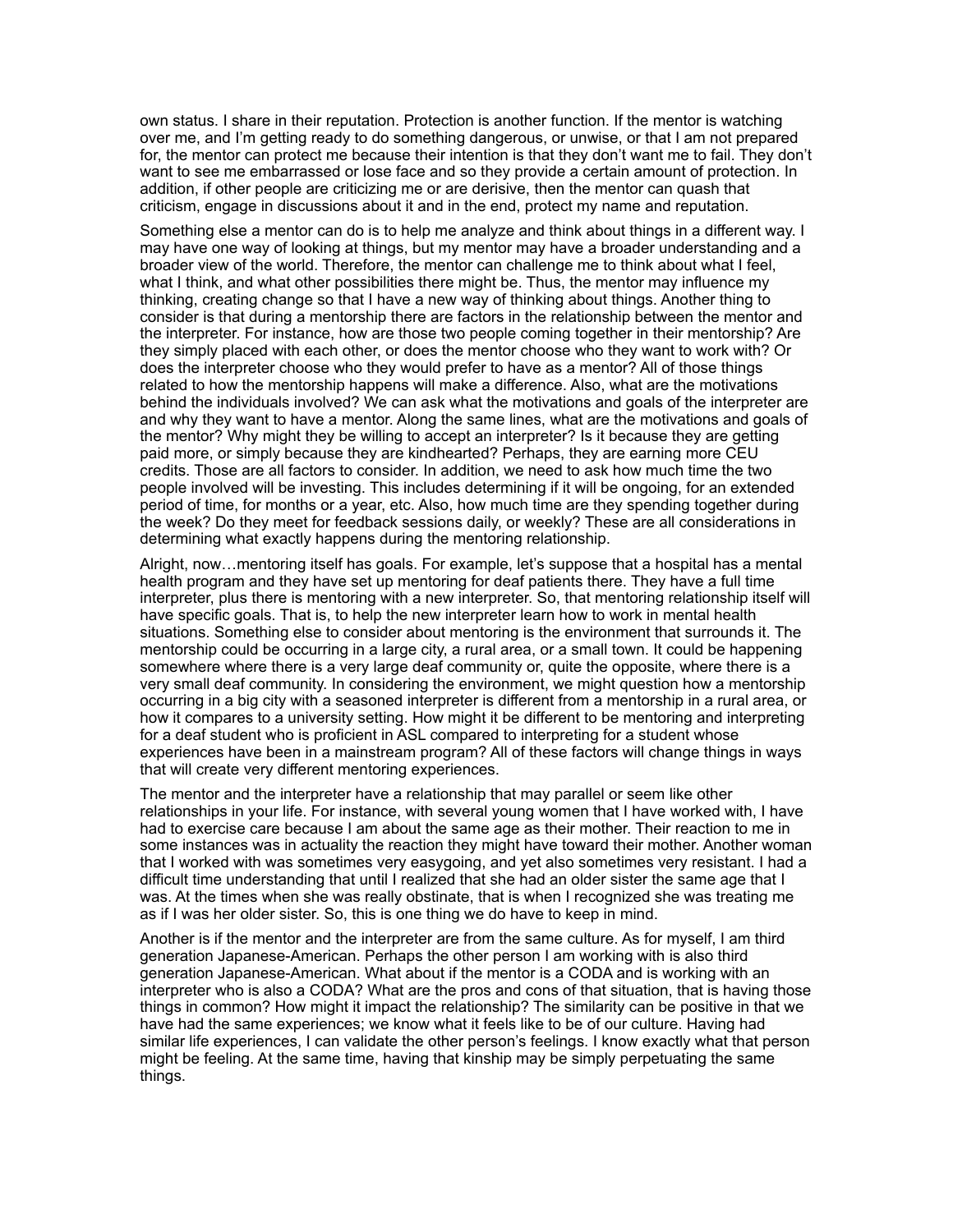own status. I share in their reputation. Protection is another function. If the mentor is watching over me, and I'm getting ready to do something dangerous, or unwise, or that I am not prepared for, the mentor can protect me because their intention is that they don't want me to fail. They don't want to see me embarrassed or lose face and so they provide a certain amount of protection. In addition, if other people are criticizing me or are derisive, then the mentor can quash that criticism, engage in discussions about it and in the end, protect my name and reputation.

Something else a mentor can do is to help me analyze and think about things in a different way. I may have one way of looking at things, but my mentor may have a broader understanding and a broader view of the world. Therefore, the mentor can challenge me to think about what I feel, what I think, and what other possibilities there might be. Thus, the mentor may influence my thinking, creating change so that I have a new way of thinking about things. Another thing to consider is that during a mentorship there are factors in the relationship between the mentor and the interpreter. For instance, how are those two people coming together in their mentorship? Are they simply placed with each other, or does the mentor choose who they want to work with? Or does the interpreter choose who they would prefer to have as a mentor? All of those things related to how the mentorship happens will make a difference. Also, what are the motivations behind the individuals involved? We can ask what the motivations and goals of the interpreter are and why they want to have a mentor. Along the same lines, what are the motivations and goals of the mentor? Why might they be willing to accept an interpreter? Is it because they are getting paid more, or simply because they are kindhearted? Perhaps, they are earning more CEU credits. Those are all factors to consider. In addition, we need to ask how much time the two people involved will be investing. This includes determining if it will be ongoing, for an extended period of time, for months or a year, etc. Also, how much time are they spending together during the week? Do they meet for feedback sessions daily, or weekly? These are all considerations in determining what exactly happens during the mentoring relationship.

Alright, now…mentoring itself has goals. For example, let's suppose that a hospital has a mental health program and they have set up mentoring for deaf patients there. They have a full time interpreter, plus there is mentoring with a new interpreter. So, that mentoring relationship itself will have specific goals. That is, to help the new interpreter learn how to work in mental health situations. Something else to consider about mentoring is the environment that surrounds it. The mentorship could be occurring in a large city, a rural area, or a small town. It could be happening somewhere where there is a very large deaf community or, quite the opposite, where there is a very small deaf community. In considering the environment, we might question how a mentorship occurring in a big city with a seasoned interpreter is different from a mentorship in a rural area, or how it compares to a university setting. How might it be different to be mentoring and interpreting for a deaf student who is proficient in ASL compared to interpreting for a student whose experiences have been in a mainstream program? All of these factors will change things in ways that will create very different mentoring experiences.

The mentor and the interpreter have a relationship that may parallel or seem like other relationships in your life. For instance, with several young women that I have worked with, I have had to exercise care because I am about the same age as their mother. Their reaction to me in some instances was in actuality the reaction they might have toward their mother. Another woman that I worked with was sometimes very easygoing, and yet also sometimes very resistant. I had a difficult time understanding that until I realized that she had an older sister the same age that I was. At the times when she was really obstinate, that is when I recognized she was treating me as if I was her older sister. So, this is one thing we do have to keep in mind.

Another is if the mentor and the interpreter are from the same culture. As for myself, I am third generation Japanese-American. Perhaps the other person I am working with is also third generation Japanese-American. What about if the mentor is a CODA and is working with an interpreter who is also a CODA? What are the pros and cons of that situation, that is having those things in common? How might it impact the relationship? The similarity can be positive in that we have had the same experiences; we know what it feels like to be of our culture. Having had similar life experiences, I can validate the other person's feelings. I know exactly what that person might be feeling. At the same time, having that kinship may be simply perpetuating the same things.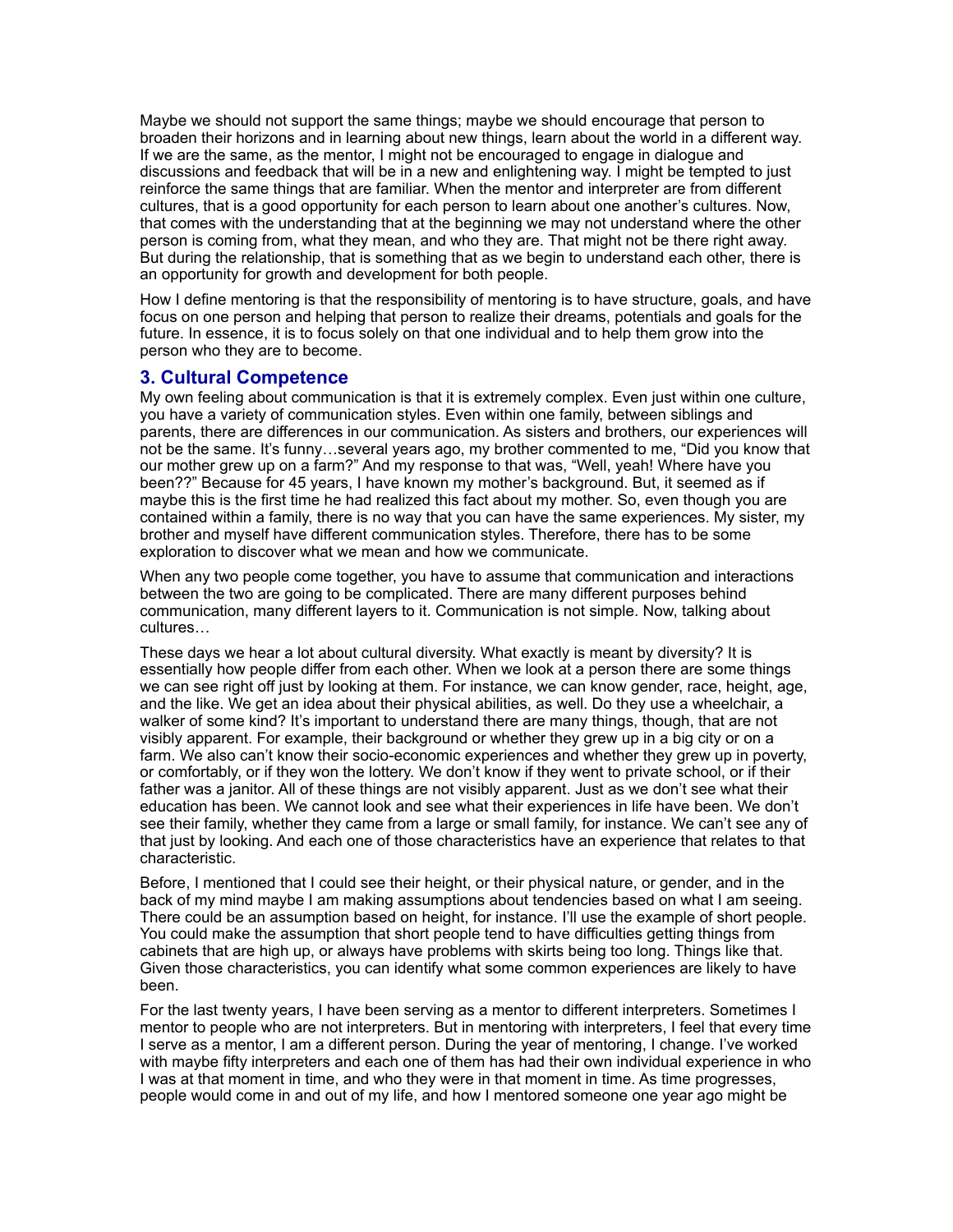Maybe we should not support the same things; maybe we should encourage that person to broaden their horizons and in learning about new things, learn about the world in a different way. If we are the same, as the mentor, I might not be encouraged to engage in dialogue and discussions and feedback that will be in a new and enlightening way. I might be tempted to just reinforce the same things that are familiar. When the mentor and interpreter are from different cultures, that is a good opportunity for each person to learn about one another's cultures. Now, that comes with the understanding that at the beginning we may not understand where the other person is coming from, what they mean, and who they are. That might not be there right away. But during the relationship, that is something that as we begin to understand each other, there is an opportunity for growth and development for both people.

How I define mentoring is that the responsibility of mentoring is to have structure, goals, and have focus on one person and helping that person to realize their dreams, potentials and goals for the future. In essence, it is to focus solely on that one individual and to help them grow into the person who they are to become.

#### **3. Cultural Competence**

My own feeling about communication is that it is extremely complex. Even just within one culture, you have a variety of communication styles. Even within one family, between siblings and parents, there are differences in our communication. As sisters and brothers, our experiences will not be the same. It's funny…several years ago, my brother commented to me, "Did you know that our mother grew up on a farm?" And my response to that was, "Well, yeah! Where have you been??" Because for 45 years, I have known my mother's background. But, it seemed as if maybe this is the first time he had realized this fact about my mother. So, even though you are contained within a family, there is no way that you can have the same experiences. My sister, my brother and myself have different communication styles. Therefore, there has to be some exploration to discover what we mean and how we communicate.

When any two people come together, you have to assume that communication and interactions between the two are going to be complicated. There are many different purposes behind communication, many different layers to it. Communication is not simple. Now, talking about cultures…

These days we hear a lot about cultural diversity. What exactly is meant by diversity? It is essentially how people differ from each other. When we look at a person there are some things we can see right off just by looking at them. For instance, we can know gender, race, height, age, and the like. We get an idea about their physical abilities, as well. Do they use a wheelchair, a walker of some kind? It's important to understand there are many things, though, that are not visibly apparent. For example, their background or whether they grew up in a big city or on a farm. We also can't know their socio-economic experiences and whether they grew up in poverty, or comfortably, or if they won the lottery. We don't know if they went to private school, or if their father was a janitor. All of these things are not visibly apparent. Just as we don't see what their education has been. We cannot look and see what their experiences in life have been. We don't see their family, whether they came from a large or small family, for instance. We can't see any of that just by looking. And each one of those characteristics have an experience that relates to that characteristic.

Before, I mentioned that I could see their height, or their physical nature, or gender, and in the back of my mind maybe I am making assumptions about tendencies based on what I am seeing. There could be an assumption based on height, for instance. I'll use the example of short people. You could make the assumption that short people tend to have difficulties getting things from cabinets that are high up, or always have problems with skirts being too long. Things like that. Given those characteristics, you can identify what some common experiences are likely to have been.

For the last twenty years, I have been serving as a mentor to different interpreters. Sometimes I mentor to people who are not interpreters. But in mentoring with interpreters, I feel that every time I serve as a mentor, I am a different person. During the year of mentoring, I change. I've worked with maybe fifty interpreters and each one of them has had their own individual experience in who I was at that moment in time, and who they were in that moment in time. As time progresses, people would come in and out of my life, and how I mentored someone one year ago might be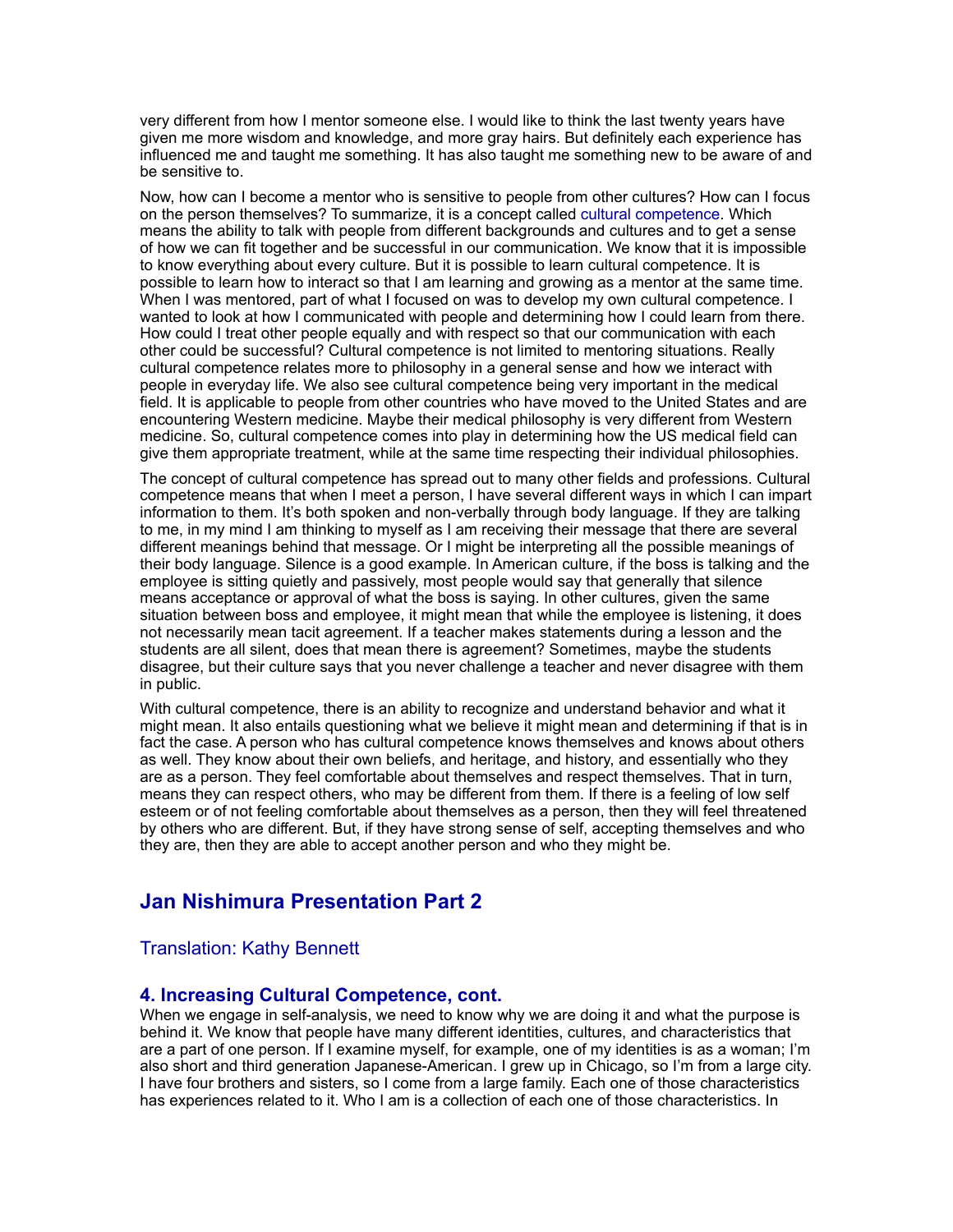very different from how I mentor someone else. I would like to think the last twenty years have given me more wisdom and knowledge, and more gray hairs. But definitely each experience has influenced me and taught me something. It has also taught me something new to be aware of and be sensitive to.

Now, how can I become a mentor who is sensitive to people from other cultures? How can I focus on the person themselves? To summarize, it is a concept called cultural competence. Which means the ability to talk with people from different backgrounds and cultures and to get a sense of how we can fit together and be successful in our communication. We know that it is impossible to know everything about every culture. But it is possible to learn cultural competence. It is possible to learn how to interact so that I am learning and growing as a mentor at the same time. When I was mentored, part of what I focused on was to develop my own cultural competence. I wanted to look at how I communicated with people and determining how I could learn from there. How could I treat other people equally and with respect so that our communication with each other could be successful? Cultural competence is not limited to mentoring situations. Really cultural competence relates more to philosophy in a general sense and how we interact with people in everyday life. We also see cultural competence being very important in the medical field. It is applicable to people from other countries who have moved to the United States and are encountering Western medicine. Maybe their medical philosophy is very different from Western medicine. So, cultural competence comes into play in determining how the US medical field can give them appropriate treatment, while at the same time respecting their individual philosophies.

The concept of cultural competence has spread out to many other fields and professions. Cultural competence means that when I meet a person, I have several different ways in which I can impart information to them. It's both spoken and non-verbally through body language. If they are talking to me, in my mind I am thinking to myself as I am receiving their message that there are several different meanings behind that message. Or I might be interpreting all the possible meanings of their body language. Silence is a good example. In American culture, if the boss is talking and the employee is sitting quietly and passively, most people would say that generally that silence means acceptance or approval of what the boss is saying. In other cultures, given the same situation between boss and employee, it might mean that while the employee is listening, it does not necessarily mean tacit agreement. If a teacher makes statements during a lesson and the students are all silent, does that mean there is agreement? Sometimes, maybe the students disagree, but their culture says that you never challenge a teacher and never disagree with them in public.

With cultural competence, there is an ability to recognize and understand behavior and what it might mean. It also entails questioning what we believe it might mean and determining if that is in fact the case. A person who has cultural competence knows themselves and knows about others as well. They know about their own beliefs, and heritage, and history, and essentially who they are as a person. They feel comfortable about themselves and respect themselves. That in turn, means they can respect others, who may be different from them. If there is a feeling of low self esteem or of not feeling comfortable about themselves as a person, then they will feel threatened by others who are different. But, if they have strong sense of self, accepting themselves and who they are, then they are able to accept another person and who they might be.

## **Jan Nishimura Presentation Part 2**

#### Translation: Kathy Bennett

#### **4. Increasing Cultural Competence, cont.**

When we engage in self-analysis, we need to know why we are doing it and what the purpose is behind it. We know that people have many different identities, cultures, and characteristics that are a part of one person. If I examine myself, for example, one of my identities is as a woman; I'm also short and third generation Japanese-American. I grew up in Chicago, so I'm from a large city. I have four brothers and sisters, so I come from a large family. Each one of those characteristics has experiences related to it. Who I am is a collection of each one of those characteristics. In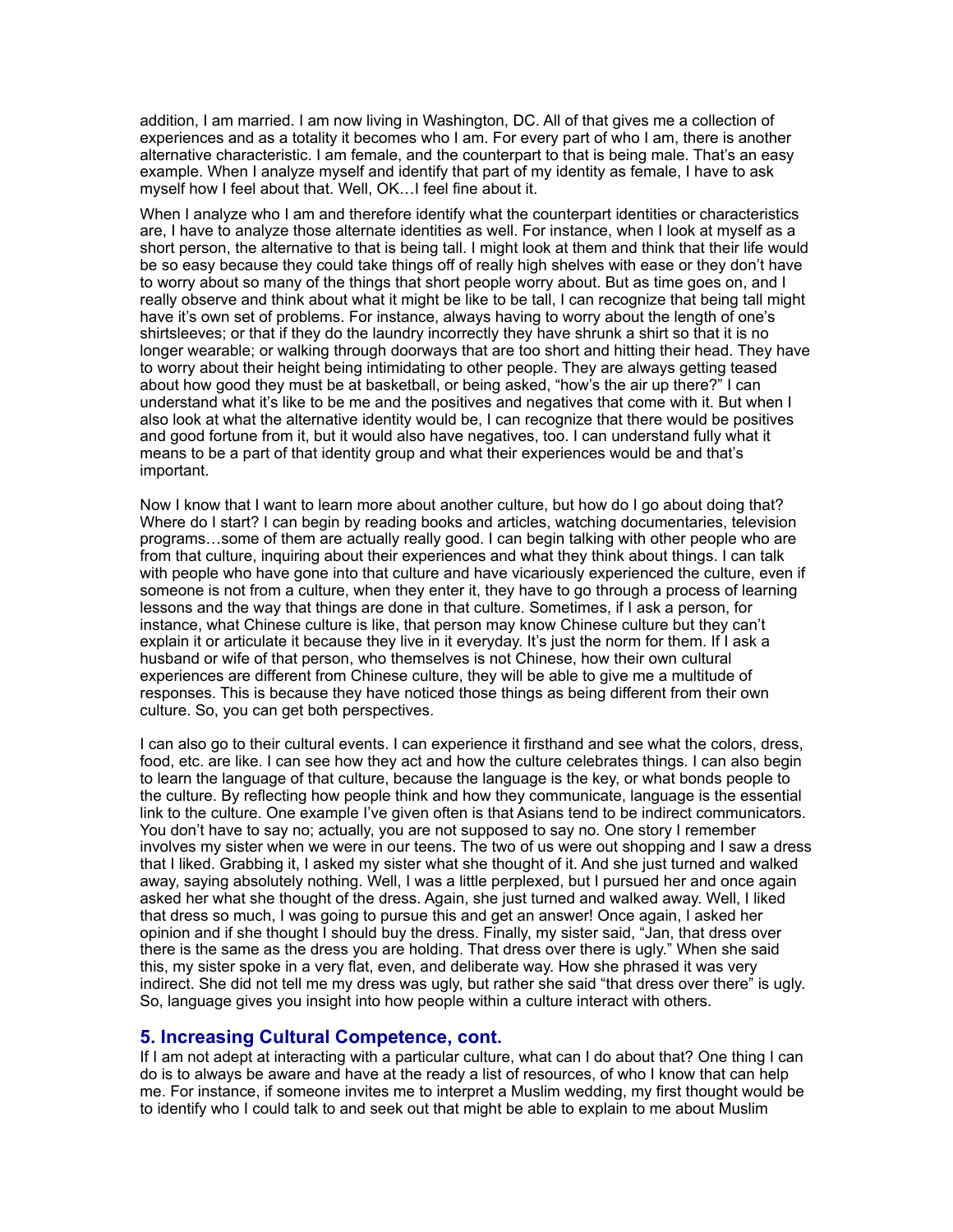addition, I am married. I am now living in Washington, DC. All of that gives me a collection of experiences and as a totality it becomes who I am. For every part of who I am, there is another alternative characteristic. I am female, and the counterpart to that is being male. That's an easy example. When I analyze myself and identify that part of my identity as female, I have to ask myself how I feel about that. Well, OK…I feel fine about it.

When I analyze who I am and therefore identify what the counterpart identities or characteristics are, I have to analyze those alternate identities as well. For instance, when I look at myself as a short person, the alternative to that is being tall. I might look at them and think that their life would be so easy because they could take things off of really high shelves with ease or they don't have to worry about so many of the things that short people worry about. But as time goes on, and I really observe and think about what it might be like to be tall, I can recognize that being tall might have it's own set of problems. For instance, always having to worry about the length of one's shirtsleeves; or that if they do the laundry incorrectly they have shrunk a shirt so that it is no longer wearable; or walking through doorways that are too short and hitting their head. They have to worry about their height being intimidating to other people. They are always getting teased about how good they must be at basketball, or being asked, "how's the air up there?" I can understand what it's like to be me and the positives and negatives that come with it. But when I also look at what the alternative identity would be, I can recognize that there would be positives and good fortune from it, but it would also have negatives, too. I can understand fully what it means to be a part of that identity group and what their experiences would be and that's important.

Now I know that I want to learn more about another culture, but how do I go about doing that? Where do I start? I can begin by reading books and articles, watching documentaries, television programs…some of them are actually really good. I can begin talking with other people who are from that culture, inquiring about their experiences and what they think about things. I can talk with people who have gone into that culture and have vicariously experienced the culture, even if someone is not from a culture, when they enter it, they have to go through a process of learning lessons and the way that things are done in that culture. Sometimes, if I ask a person, for instance, what Chinese culture is like, that person may know Chinese culture but they can't explain it or articulate it because they live in it everyday. It's just the norm for them. If I ask a husband or wife of that person, who themselves is not Chinese, how their own cultural experiences are different from Chinese culture, they will be able to give me a multitude of responses. This is because they have noticed those things as being different from their own culture. So, you can get both perspectives.

I can also go to their cultural events. I can experience it firsthand and see what the colors, dress, food, etc. are like. I can see how they act and how the culture celebrates things. I can also begin to learn the language of that culture, because the language is the key, or what bonds people to the culture. By reflecting how people think and how they communicate, language is the essential link to the culture. One example I've given often is that Asians tend to be indirect communicators. You don't have to say no; actually, you are not supposed to say no. One story I remember involves my sister when we were in our teens. The two of us were out shopping and I saw a dress that I liked. Grabbing it, I asked my sister what she thought of it. And she just turned and walked away, saying absolutely nothing. Well, I was a little perplexed, but I pursued her and once again asked her what she thought of the dress. Again, she just turned and walked away. Well, I liked that dress so much, I was going to pursue this and get an answer! Once again, I asked her opinion and if she thought I should buy the dress. Finally, my sister said, "Jan, that dress over there is the same as the dress you are holding. That dress over there is ugly." When she said this, my sister spoke in a very flat, even, and deliberate way. How she phrased it was very indirect. She did not tell me my dress was ugly, but rather she said "that dress over there" is ugly. So, language gives you insight into how people within a culture interact with others.

#### **5. Increasing Cultural Competence, cont.**

If I am not adept at interacting with a particular culture, what can I do about that? One thing I can do is to always be aware and have at the ready a list of resources, of who I know that can help me. For instance, if someone invites me to interpret a Muslim wedding, my first thought would be to identify who I could talk to and seek out that might be able to explain to me about Muslim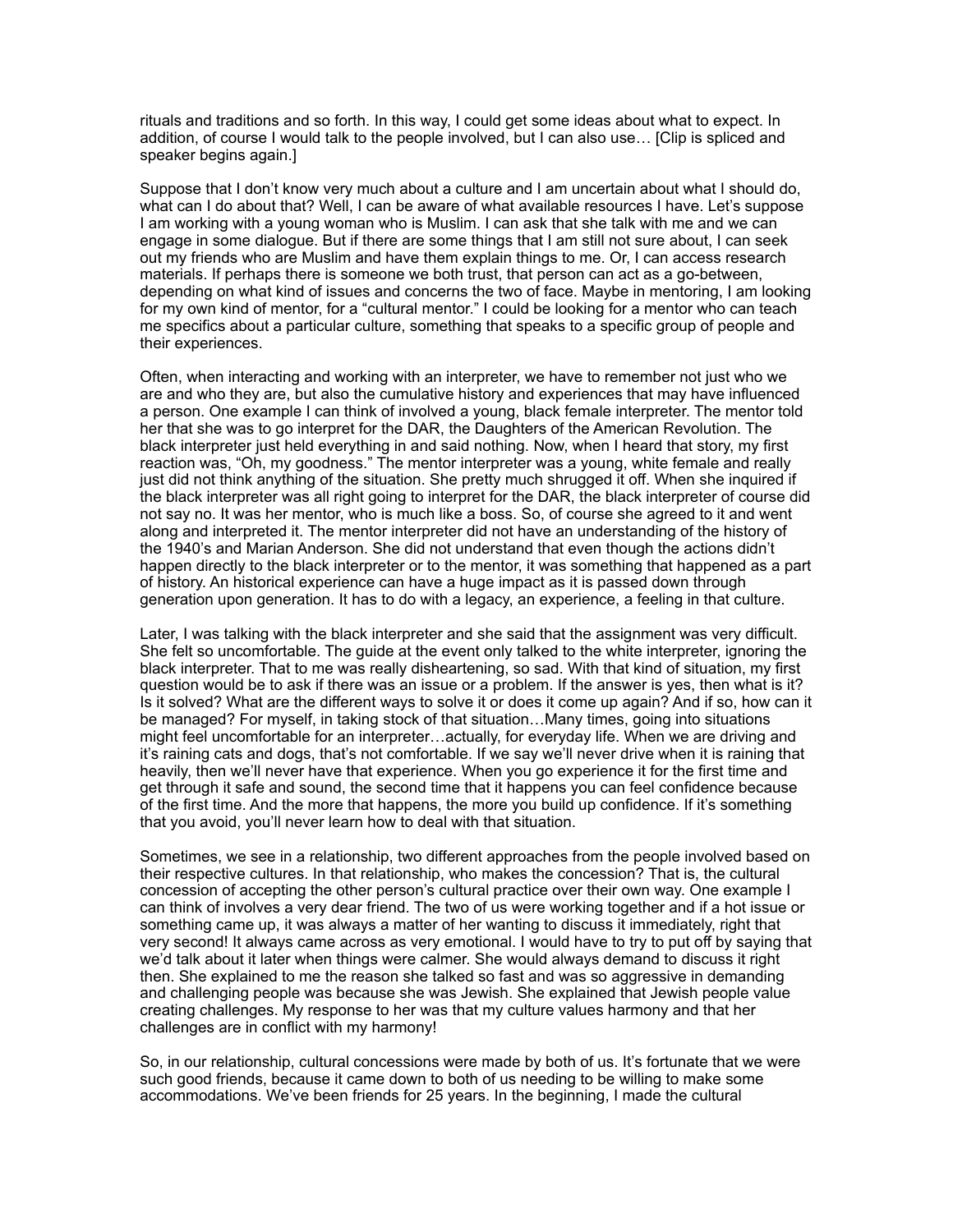rituals and traditions and so forth. In this way, I could get some ideas about what to expect. In addition, of course I would talk to the people involved, but I can also use… [Clip is spliced and speaker begins again.]

Suppose that I don't know very much about a culture and I am uncertain about what I should do, what can I do about that? Well, I can be aware of what available resources I have. Let's suppose I am working with a young woman who is Muslim. I can ask that she talk with me and we can engage in some dialogue. But if there are some things that I am still not sure about, I can seek out my friends who are Muslim and have them explain things to me. Or, I can access research materials. If perhaps there is someone we both trust, that person can act as a go-between, depending on what kind of issues and concerns the two of face. Maybe in mentoring, I am looking for my own kind of mentor, for a "cultural mentor." I could be looking for a mentor who can teach me specifics about a particular culture, something that speaks to a specific group of people and their experiences.

Often, when interacting and working with an interpreter, we have to remember not just who we are and who they are, but also the cumulative history and experiences that may have influenced a person. One example I can think of involved a young, black female interpreter. The mentor told her that she was to go interpret for the DAR, the Daughters of the American Revolution. The black interpreter just held everything in and said nothing. Now, when I heard that story, my first reaction was, "Oh, my goodness." The mentor interpreter was a young, white female and really just did not think anything of the situation. She pretty much shrugged it off. When she inquired if the black interpreter was all right going to interpret for the DAR, the black interpreter of course did not say no. It was her mentor, who is much like a boss. So, of course she agreed to it and went along and interpreted it. The mentor interpreter did not have an understanding of the history of the 1940's and Marian Anderson. She did not understand that even though the actions didn't happen directly to the black interpreter or to the mentor, it was something that happened as a part of history. An historical experience can have a huge impact as it is passed down through generation upon generation. It has to do with a legacy, an experience, a feeling in that culture.

Later, I was talking with the black interpreter and she said that the assignment was very difficult. She felt so uncomfortable. The guide at the event only talked to the white interpreter, ignoring the black interpreter. That to me was really disheartening, so sad. With that kind of situation, my first question would be to ask if there was an issue or a problem. If the answer is yes, then what is it? Is it solved? What are the different ways to solve it or does it come up again? And if so, how can it be managed? For myself, in taking stock of that situation…Many times, going into situations might feel uncomfortable for an interpreter…actually, for everyday life. When we are driving and it's raining cats and dogs, that's not comfortable. If we say we'll never drive when it is raining that heavily, then we'll never have that experience. When you go experience it for the first time and get through it safe and sound, the second time that it happens you can feel confidence because of the first time. And the more that happens, the more you build up confidence. If it's something that you avoid, you'll never learn how to deal with that situation.

Sometimes, we see in a relationship, two different approaches from the people involved based on their respective cultures. In that relationship, who makes the concession? That is, the cultural concession of accepting the other person's cultural practice over their own way. One example I can think of involves a very dear friend. The two of us were working together and if a hot issue or something came up, it was always a matter of her wanting to discuss it immediately, right that very second! It always came across as very emotional. I would have to try to put off by saying that we'd talk about it later when things were calmer. She would always demand to discuss it right then. She explained to me the reason she talked so fast and was so aggressive in demanding and challenging people was because she was Jewish. She explained that Jewish people value creating challenges. My response to her was that my culture values harmony and that her challenges are in conflict with my harmony!

So, in our relationship, cultural concessions were made by both of us. It's fortunate that we were such good friends, because it came down to both of us needing to be willing to make some accommodations. We've been friends for 25 years. In the beginning, I made the cultural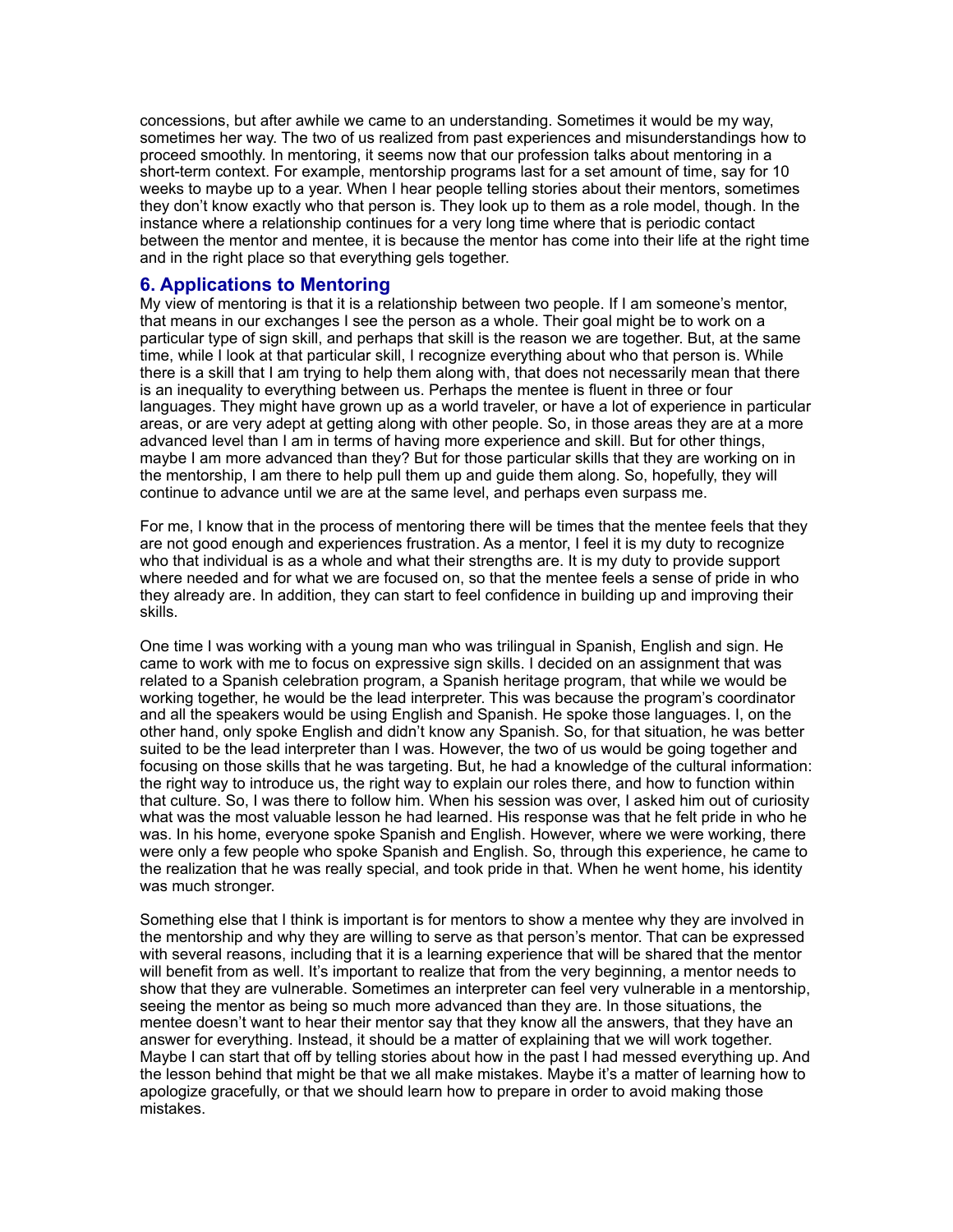concessions, but after awhile we came to an understanding. Sometimes it would be my way, sometimes her way. The two of us realized from past experiences and misunderstandings how to proceed smoothly. In mentoring, it seems now that our profession talks about mentoring in a short-term context. For example, mentorship programs last for a set amount of time, say for 10 weeks to maybe up to a year. When I hear people telling stories about their mentors, sometimes they don't know exactly who that person is. They look up to them as a role model, though. In the instance where a relationship continues for a very long time where that is periodic contact between the mentor and mentee, it is because the mentor has come into their life at the right time and in the right place so that everything gels together.

#### **6. Applications to Mentoring**

My view of mentoring is that it is a relationship between two people. If I am someone's mentor, that means in our exchanges I see the person as a whole. Their goal might be to work on a particular type of sign skill, and perhaps that skill is the reason we are together. But, at the same time, while I look at that particular skill, I recognize everything about who that person is. While there is a skill that I am trying to help them along with, that does not necessarily mean that there is an inequality to everything between us. Perhaps the mentee is fluent in three or four languages. They might have grown up as a world traveler, or have a lot of experience in particular areas, or are very adept at getting along with other people. So, in those areas they are at a more advanced level than I am in terms of having more experience and skill. But for other things, maybe I am more advanced than they? But for those particular skills that they are working on in the mentorship, I am there to help pull them up and guide them along. So, hopefully, they will continue to advance until we are at the same level, and perhaps even surpass me.

For me, I know that in the process of mentoring there will be times that the mentee feels that they are not good enough and experiences frustration. As a mentor, I feel it is my duty to recognize who that individual is as a whole and what their strengths are. It is my duty to provide support where needed and for what we are focused on, so that the mentee feels a sense of pride in who they already are. In addition, they can start to feel confidence in building up and improving their skills.

One time I was working with a young man who was trilingual in Spanish, English and sign. He came to work with me to focus on expressive sign skills. I decided on an assignment that was related to a Spanish celebration program, a Spanish heritage program, that while we would be working together, he would be the lead interpreter. This was because the program's coordinator and all the speakers would be using English and Spanish. He spoke those languages. I, on the other hand, only spoke English and didn't know any Spanish. So, for that situation, he was better suited to be the lead interpreter than I was. However, the two of us would be going together and focusing on those skills that he was targeting. But, he had a knowledge of the cultural information: the right way to introduce us, the right way to explain our roles there, and how to function within that culture. So, I was there to follow him. When his session was over, I asked him out of curiosity what was the most valuable lesson he had learned. His response was that he felt pride in who he was. In his home, everyone spoke Spanish and English. However, where we were working, there were only a few people who spoke Spanish and English. So, through this experience, he came to the realization that he was really special, and took pride in that. When he went home, his identity was much stronger.

Something else that I think is important is for mentors to show a mentee why they are involved in the mentorship and why they are willing to serve as that person's mentor. That can be expressed with several reasons, including that it is a learning experience that will be shared that the mentor will benefit from as well. It's important to realize that from the very beginning, a mentor needs to show that they are vulnerable. Sometimes an interpreter can feel very vulnerable in a mentorship, seeing the mentor as being so much more advanced than they are. In those situations, the mentee doesn't want to hear their mentor say that they know all the answers, that they have an answer for everything. Instead, it should be a matter of explaining that we will work together. Maybe I can start that off by telling stories about how in the past I had messed everything up. And the lesson behind that might be that we all make mistakes. Maybe it's a matter of learning how to apologize gracefully, or that we should learn how to prepare in order to avoid making those mistakes.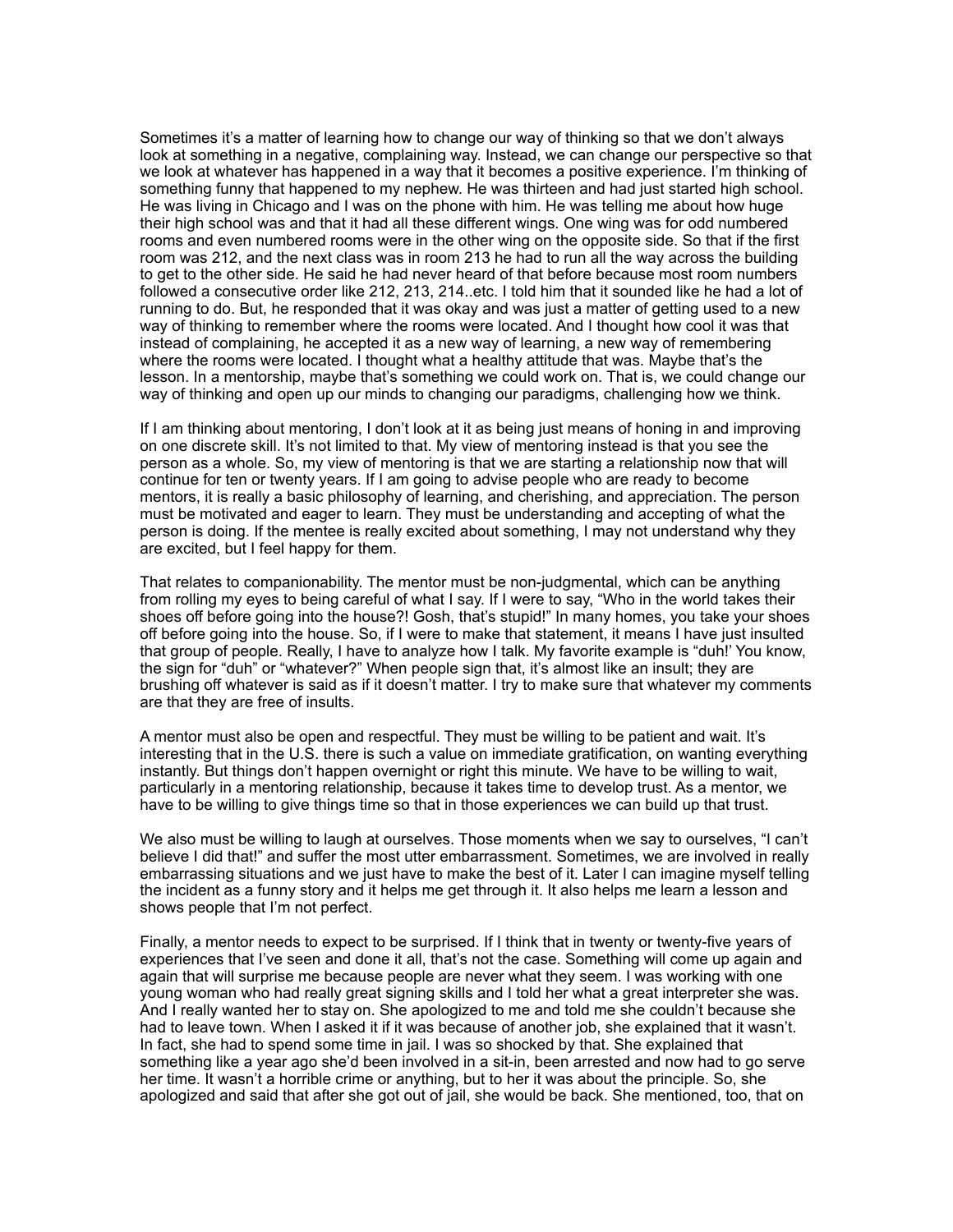Sometimes it's a matter of learning how to change our way of thinking so that we don't always look at something in a negative, complaining way. Instead, we can change our perspective so that we look at whatever has happened in a way that it becomes a positive experience. I'm thinking of something funny that happened to my nephew. He was thirteen and had just started high school. He was living in Chicago and I was on the phone with him. He was telling me about how huge their high school was and that it had all these different wings. One wing was for odd numbered rooms and even numbered rooms were in the other wing on the opposite side. So that if the first room was 212, and the next class was in room 213 he had to run all the way across the building to get to the other side. He said he had never heard of that before because most room numbers followed a consecutive order like 212, 213, 214..etc. I told him that it sounded like he had a lot of running to do. But, he responded that it was okay and was just a matter of getting used to a new way of thinking to remember where the rooms were located. And I thought how cool it was that instead of complaining, he accepted it as a new way of learning, a new way of remembering where the rooms were located. I thought what a healthy attitude that was. Maybe that's the lesson. In a mentorship, maybe that's something we could work on. That is, we could change our way of thinking and open up our minds to changing our paradigms, challenging how we think.

If I am thinking about mentoring, I don't look at it as being just means of honing in and improving on one discrete skill. It's not limited to that. My view of mentoring instead is that you see the person as a whole. So, my view of mentoring is that we are starting a relationship now that will continue for ten or twenty years. If I am going to advise people who are ready to become mentors, it is really a basic philosophy of learning, and cherishing, and appreciation. The person must be motivated and eager to learn. They must be understanding and accepting of what the person is doing. If the mentee is really excited about something, I may not understand why they are excited, but I feel happy for them.

That relates to companionability. The mentor must be non-judgmental, which can be anything from rolling my eyes to being careful of what I say. If I were to say, "Who in the world takes their shoes off before going into the house?! Gosh, that's stupid!" In many homes, you take your shoes off before going into the house. So, if I were to make that statement, it means I have just insulted that group of people. Really, I have to analyze how I talk. My favorite example is "duh!' You know, the sign for "duh" or "whatever?" When people sign that, it's almost like an insult; they are brushing off whatever is said as if it doesn't matter. I try to make sure that whatever my comments are that they are free of insults.

A mentor must also be open and respectful. They must be willing to be patient and wait. It's interesting that in the U.S. there is such a value on immediate gratification, on wanting everything instantly. But things don't happen overnight or right this minute. We have to be willing to wait, particularly in a mentoring relationship, because it takes time to develop trust. As a mentor, we have to be willing to give things time so that in those experiences we can build up that trust.

We also must be willing to laugh at ourselves. Those moments when we say to ourselves, "I can't believe I did that!" and suffer the most utter embarrassment. Sometimes, we are involved in really embarrassing situations and we just have to make the best of it. Later I can imagine myself telling the incident as a funny story and it helps me get through it. It also helps me learn a lesson and shows people that I'm not perfect.

Finally, a mentor needs to expect to be surprised. If I think that in twenty or twenty-five years of experiences that I've seen and done it all, that's not the case. Something will come up again and again that will surprise me because people are never what they seem. I was working with one young woman who had really great signing skills and I told her what a great interpreter she was. And I really wanted her to stay on. She apologized to me and told me she couldn't because she had to leave town. When I asked it if it was because of another job, she explained that it wasn't. In fact, she had to spend some time in jail. I was so shocked by that. She explained that something like a year ago she'd been involved in a sit-in, been arrested and now had to go serve her time. It wasn't a horrible crime or anything, but to her it was about the principle. So, she apologized and said that after she got out of jail, she would be back. She mentioned, too, that on